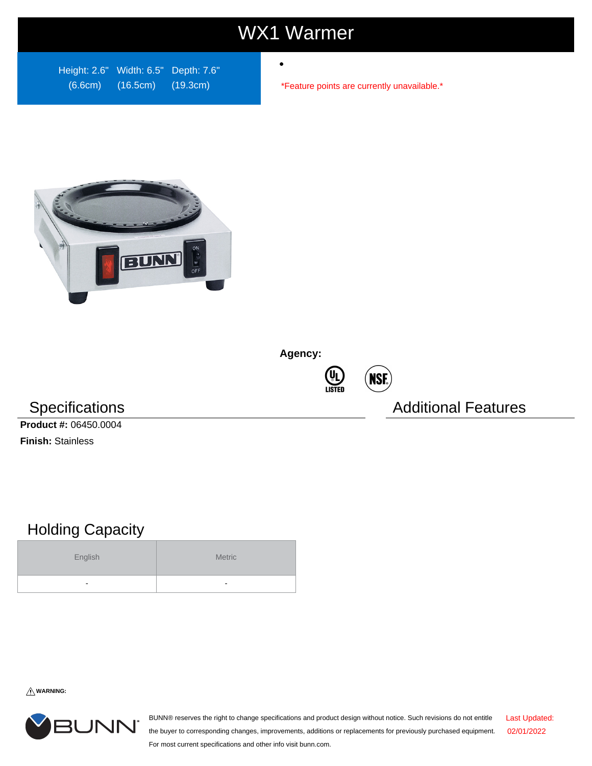## WX1 Warmer

Height: 2.6" Width: 6.5" Depth: 7.6" (6.6cm) (16.5cm) (19.3cm)

\*Feature points are currently unavailable.\*



**Agency:**



Specifications **Additional Features** Additional Features

**Product #:** 06450.0004 **Finish:** Stainless

## Holding Capacity

| English | Metric |
|---------|--------|
| -       |        |

**WARNING:**



BUNN® reserves the right to change specifications and product design without notice. Such revisions do not entitle the buyer to corresponding changes, improvements, additions or replacements for previously purchased equipment. For most current specifications and other info visit bunn.com. Last Updated: 02/01/2022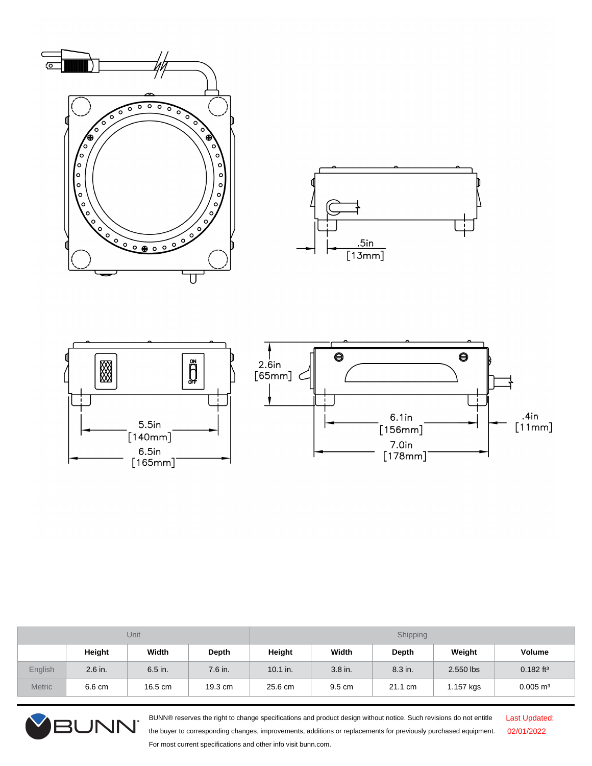



| Unit          |         |         |              | Shipping   |         |              |           |                         |
|---------------|---------|---------|--------------|------------|---------|--------------|-----------|-------------------------|
|               | Height  | Width   | <b>Depth</b> | Height     | Width   | <b>Depth</b> | Weight    | Volume                  |
| English       | 2.6 in. | 6.5 in. | 7.6 in.      | $10.1$ in. | 3.8 in. | 8.3 in.      | 2.550 lbs | $0.182$ ft <sup>3</sup> |
| <b>Metric</b> | 6.6 cm  | 16.5 cm | 19.3 cm      | 25.6 cm    | 9.5 cm  | 21.1 cm      | 1.157 kgs | $0.005 \; \text{m}^3$   |



BUNN® reserves the right to change specifications and product design without notice. Such revisions do not entitle the buyer to corresponding changes, improvements, additions or replacements for previously purchased equipment. For most current specifications and other info visit bunn.com.

Last Updated: 02/01/2022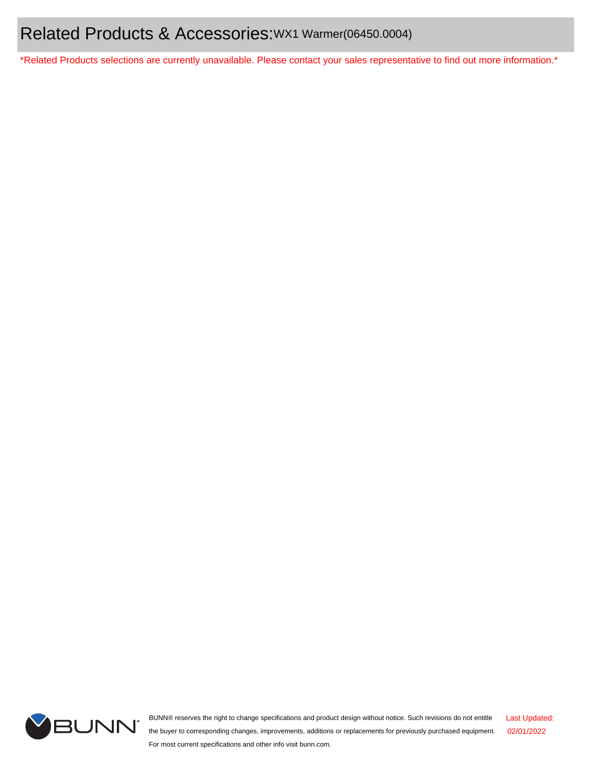\*Related Products selections are currently unavailable. Please contact your sales representative to find out more information.\*



BUNN® reserves the right to change specifications and product design without notice. Such revisions do not entitle the buyer to corresponding changes, improvements, additions or replacements for previously purchased equipment. For most current specifications and other info visit bunn.com. Last Updated: 02/01/2022